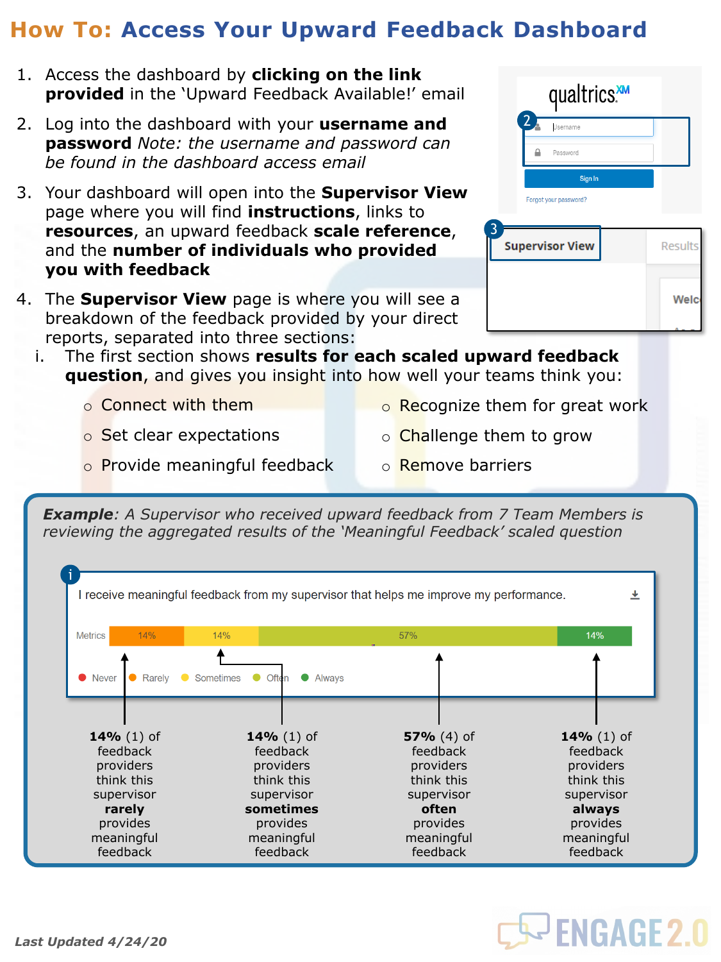## **How To: Access Your Upward Feedback Dashboard**

- 1. Access the dashboard by **clicking on the link provided** in the 'Upward Feedback Available!' email
- 2. Log into the dashboard with your **username and password** *Note: the username and password can be found in the dashboard access email*
- 3. Your dashboard will open into the **Supervisor View**  page where you will find **instructions**, links to **resources**, an upward feedback **scale reference**, and the **number of individuals who provided you with feedback**
- 4. The **Supervisor View** page is where you will see a breakdown of the feedback provided by your direct reports, separated into three sections:
	- i. The first section shows **results for each scaled upward feedback question**, and gives you insight into how well your teams think you:
		- o Connect with them
		- o Set clear expectations
- o Recognize them for great work
- o **Challenge them to grow**
- o Provide meaningful feedback
- o Remove barriers

*Example: A Supervisor who received upward feedback from 7 Team Members is reviewing the aggregated results of the 'Meaningful Feedback' scaled question*



|              | qualtrics.             |                |
|--------------|------------------------|----------------|
| $\mathbf{2}$ | Username               |                |
|              | Password               |                |
|              | Sign In                |                |
|              | Forgot your password?  |                |
| 3            | <b>Supervisor View</b> | <b>Results</b> |
|              |                        | Welc           |

**S- ENGAGE 2.0** 

## *Last Updated 4/24/20*